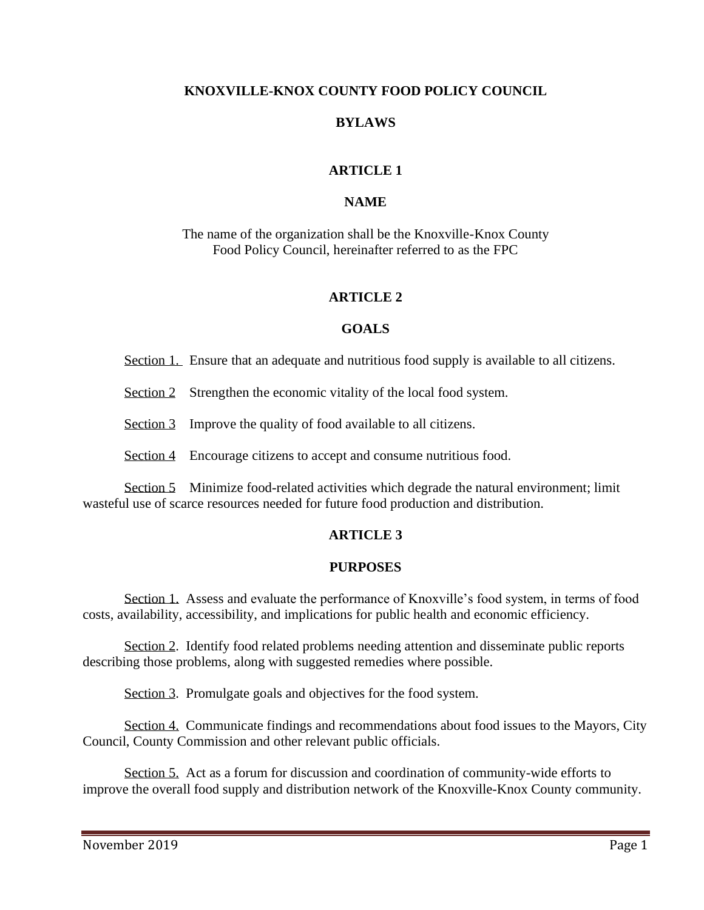#### **KNOXVILLE-KNOX COUNTY FOOD POLICY COUNCIL**

### **BYLAWS**

## **ARTICLE 1**

### **NAME**

The name of the organization shall be the Knoxville-Knox County Food Policy Council, hereinafter referred to as the FPC

### **ARTICLE 2**

### **GOALS**

Section 1. Ensure that an adequate and nutritious food supply is available to all citizens.

Section 2 Strengthen the economic vitality of the local food system.

Section 3 Improve the quality of food available to all citizens.

Section 4 Encourage citizens to accept and consume nutritious food.

Section 5 Minimize food-related activities which degrade the natural environment; limit wasteful use of scarce resources needed for future food production and distribution.

## **ARTICLE 3**

#### **PURPOSES**

Section 1. Assess and evaluate the performance of Knoxville's food system, in terms of food costs, availability, accessibility, and implications for public health and economic efficiency.

Section 2. Identify food related problems needing attention and disseminate public reports describing those problems, along with suggested remedies where possible.

Section 3. Promulgate goals and objectives for the food system.

Section 4. Communicate findings and recommendations about food issues to the Mayors, City Council, County Commission and other relevant public officials.

Section 5. Act as a forum for discussion and coordination of community-wide efforts to improve the overall food supply and distribution network of the Knoxville-Knox County community.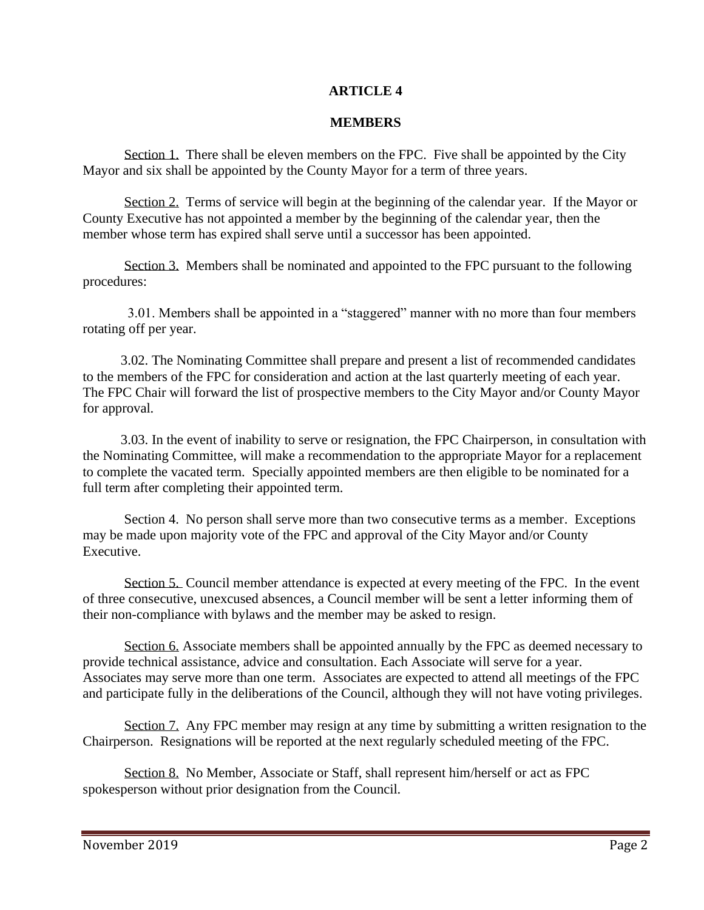## **ARTICLE 4**

#### **MEMBERS**

Section 1. There shall be eleven members on the FPC. Five shall be appointed by the City Mayor and six shall be appointed by the County Mayor for a term of three years.

Section 2. Terms of service will begin at the beginning of the calendar year. If the Mayor or County Executive has not appointed a member by the beginning of the calendar year, then the member whose term has expired shall serve until a successor has been appointed.

Section 3. Members shall be nominated and appointed to the FPC pursuant to the following procedures:

 3.01. Members shall be appointed in a "staggered" manner with no more than four members rotating off per year.

 3.02. The Nominating Committee shall prepare and present a list of recommended candidates to the members of the FPC for consideration and action at the last quarterly meeting of each year. The FPC Chair will forward the list of prospective members to the City Mayor and/or County Mayor for approval.

 3.03. In the event of inability to serve or resignation, the FPC Chairperson, in consultation with the Nominating Committee, will make a recommendation to the appropriate Mayor for a replacement to complete the vacated term. Specially appointed members are then eligible to be nominated for a full term after completing their appointed term.

Section 4. No person shall serve more than two consecutive terms as a member. Exceptions may be made upon majority vote of the FPC and approval of the City Mayor and/or County Executive.

Section 5. Council member attendance is expected at every meeting of the FPC. In the event of three consecutive, unexcused absences, a Council member will be sent a letter informing them of their non-compliance with bylaws and the member may be asked to resign.

Section 6. Associate members shall be appointed annually by the FPC as deemed necessary to provide technical assistance, advice and consultation. Each Associate will serve for a year. Associates may serve more than one term. Associates are expected to attend all meetings of the FPC and participate fully in the deliberations of the Council, although they will not have voting privileges.

Section 7. Any FPC member may resign at any time by submitting a written resignation to the Chairperson. Resignations will be reported at the next regularly scheduled meeting of the FPC.

Section 8. No Member, Associate or Staff, shall represent him/herself or act as FPC spokesperson without prior designation from the Council.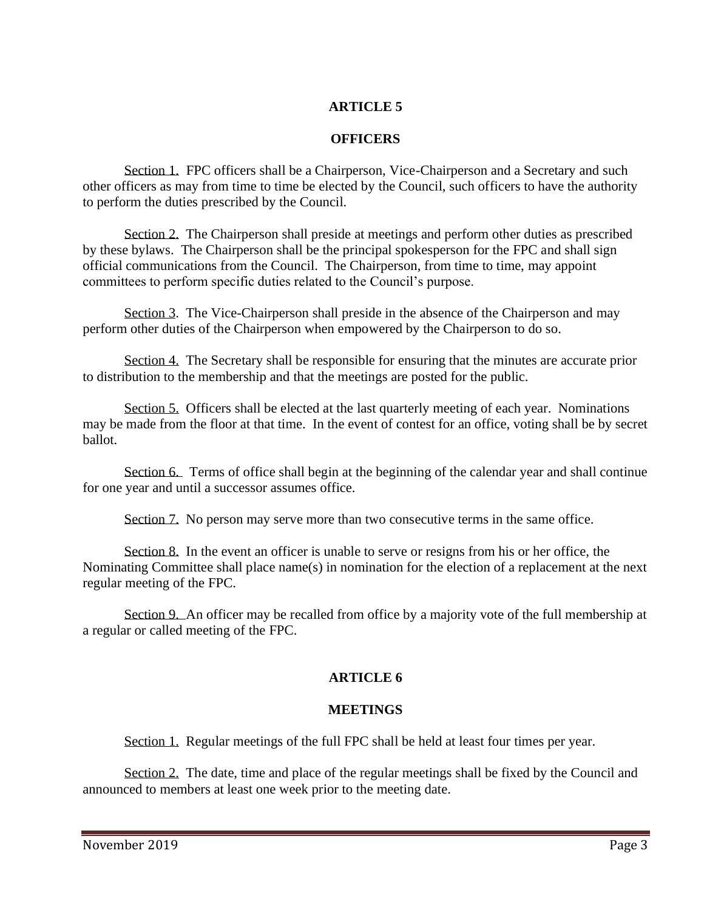## **ARTICLE 5**

## **OFFICERS**

Section 1. FPC officers shall be a Chairperson, Vice-Chairperson and a Secretary and such other officers as may from time to time be elected by the Council, such officers to have the authority to perform the duties prescribed by the Council.

Section 2. The Chairperson shall preside at meetings and perform other duties as prescribed by these bylaws. The Chairperson shall be the principal spokesperson for the FPC and shall sign official communications from the Council. The Chairperson, from time to time, may appoint committees to perform specific duties related to the Council's purpose.

Section 3. The Vice-Chairperson shall preside in the absence of the Chairperson and may perform other duties of the Chairperson when empowered by the Chairperson to do so.

Section 4. The Secretary shall be responsible for ensuring that the minutes are accurate prior to distribution to the membership and that the meetings are posted for the public.

Section 5. Officers shall be elected at the last quarterly meeting of each year. Nominations may be made from the floor at that time. In the event of contest for an office, voting shall be by secret ballot.

Section 6. Terms of office shall begin at the beginning of the calendar year and shall continue for one year and until a successor assumes office.

Section 7. No person may serve more than two consecutive terms in the same office.

Section 8. In the event an officer is unable to serve or resigns from his or her office, the Nominating Committee shall place name(s) in nomination for the election of a replacement at the next regular meeting of the FPC.

Section 9. An officer may be recalled from office by a majority vote of the full membership at a regular or called meeting of the FPC.

## **ARTICLE 6**

## **MEETINGS**

Section 1. Regular meetings of the full FPC shall be held at least four times per year.

Section 2. The date, time and place of the regular meetings shall be fixed by the Council and announced to members at least one week prior to the meeting date.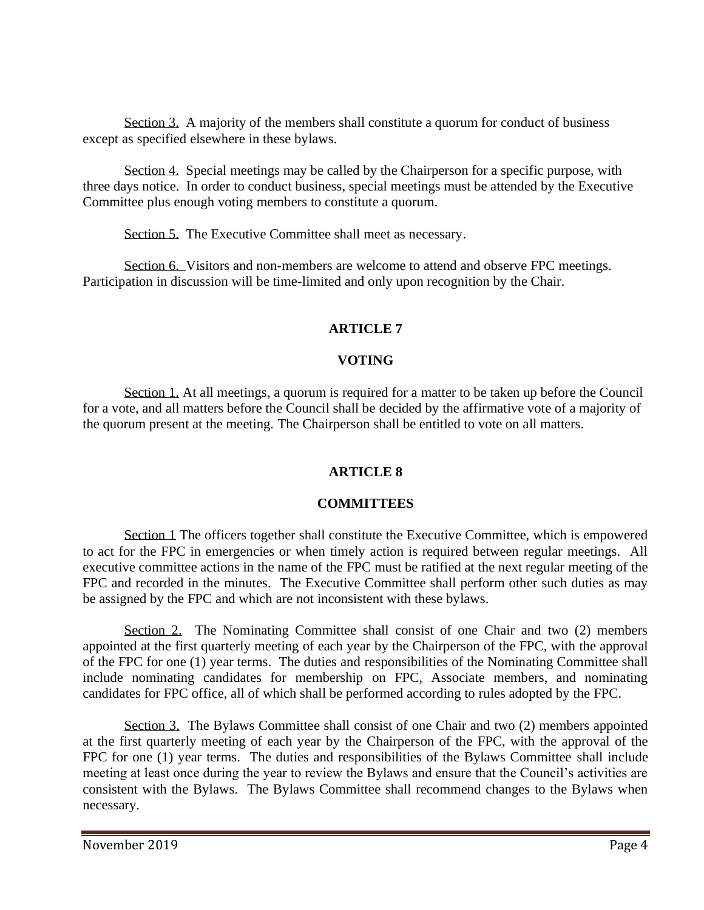Section 3. A majority of the members shall constitute a quorum for conduct of business except as specified elsewhere in these bylaws.

Section 4. Special meetings may be called by the Chairperson for a specific purpose, with three days notice. In order to conduct business, special meetings must be attended by the Executive Committee plus enough voting members to constitute a quorum.

Section 5. The Executive Committee shall meet as necessary.

Section 6. Visitors and non-members are welcome to attend and observe FPC meetings. Participation in discussion will be time-limited and only upon recognition by the Chair.

# **ARTICLE 7**

# **VOTING**

Section 1. At all meetings, a quorum is required for a matter to be taken up before the Council for a vote, and all matters before the Council shall be decided by the affirmative vote of a majority of the quorum present at the meeting. The Chairperson shall be entitled to vote on all matters.

## **ARTICLE 8**

## **COMMITTEES**

Section 1 The officers together shall constitute the Executive Committee, which is empowered to act for the FPC in emergencies or when timely action is required between regular meetings. All executive committee actions in the name of the FPC must be ratified at the next regular meeting of the FPC and recorded in the minutes. The Executive Committee shall perform other such duties as may be assigned by the FPC and which are not inconsistent with these bylaws.

Section 2. The Nominating Committee shall consist of one Chair and two (2) members appointed at the first quarterly meeting of each year by the Chairperson of the FPC, with the approval of the FPC for one (1) year terms. The duties and responsibilities of the Nominating Committee shall include nominating candidates for membership on FPC, Associate members, and nominating candidates for FPC office, all of which shall be performed according to rules adopted by the FPC.

Section 3. The Bylaws Committee shall consist of one Chair and two (2) members appointed at the first quarterly meeting of each year by the Chairperson of the FPC, with the approval of the FPC for one (1) year terms. The duties and responsibilities of the Bylaws Committee shall include meeting at least once during the year to review the Bylaws and ensure that the Council's activities are consistent with the Bylaws. The Bylaws Committee shall recommend changes to the Bylaws when necessary.